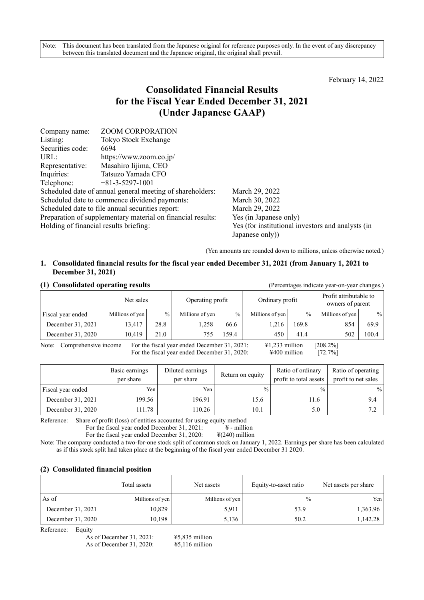Note: This document has been translated from the Japanese original for reference purposes only. In the event of any discrepancy between this translated document and the Japanese original, the original shall prevail.

February 14, 2022

## **Consolidated Financial Results for the Fiscal Year Ended December 31, 2021 (Under Japanese GAAP)**

| Company name:    | <b>ZOOM CORPORATION</b>                                     |                                                   |
|------------------|-------------------------------------------------------------|---------------------------------------------------|
| Listing:         | Tokyo Stock Exchange                                        |                                                   |
| Securities code: | 6694                                                        |                                                   |
| URL:             | https://www.zoom.co.jp/                                     |                                                   |
| Representative:  | Masahiro Iijima, CEO                                        |                                                   |
| Inquiries:       | Tatsuzo Yamada CFO                                          |                                                   |
| Telephone:       | $+81-3-5297-1001$                                           |                                                   |
|                  | Scheduled date of annual general meeting of shareholders:   | March 29, 2022                                    |
|                  | Scheduled date to commence dividend payments:               | March 30, 2022                                    |
|                  | Scheduled date to file annual securities report:            | March 29, 2022                                    |
|                  | Preparation of supplementary material on financial results: | Yes (in Japanese only)                            |
|                  | Holding of financial results briefing:                      | Yes (for institutional investors and analysts (in |
|                  |                                                             | Japanese only)                                    |

(Yen amounts are rounded down to millions, unless otherwise noted.)

#### **1. Consolidated financial results for the fiscal year ended December 31, 2021 (from January 1, 2021 to December 31, 2021)**

### Net sales Deperating profit Ordinary profit Profit attributable to owners of parent Fiscal year ended Millions of yen % Millions of yen % Millions of yen % Millions of yen % Millions of yen % December 31, 2021 13,417 28.8 1,258 66.6 1,216 169.8 854 69.9 December 31, 2020 | 10,419 | 21.0 | 755 | 159.4 | 450 | 41.4 | 502 | 100.4

#### **(1) Consolidated operating results** (Percentages indicate year-on-year changes.)

Note: Comprehensive income For the fiscal year ended December 31, 2021: ¥1,233 million [208.2%] For the fiscal year ended December 31, 2020:  $\qquad\qquad$  ¥400 million [72.7%]

|                   | Basic earnings<br>per share | Diluted earnings<br>per share | Return on equity | Ratio of ordinary<br>profit to total assets | Ratio of operating<br>profit to net sales |
|-------------------|-----------------------------|-------------------------------|------------------|---------------------------------------------|-------------------------------------------|
| Fiscal year ended | Yen                         | Yen                           | $\frac{0}{0}$    | $\frac{0}{0}$                               | $\%$                                      |
| December 31, 2021 | 199.56                      | 196.91                        | 15.6             | 11.6                                        | 9.4                                       |
| December 31, 2020 | 111.78                      | 110.26                        | 10.1             | 5.0                                         | 7.2                                       |

Reference: Share of profit (loss) of entities accounted for using equity method

For the fiscal year ended December 31, 2021:  $\frac{4}{3}$ - million<br>For the fiscal year ended December 31, 2020:  $\frac{4}{2}(240)$  million For the fiscal year ended December 31, 2020:

Note: The company conducted a two-for-one stock split of common stock on January 1, 2022. Earnings per share has been calculated as if this stock split had taken place at the beginning of the fiscal year ended December 31 2020.

#### **(2) Consolidated financial position**

|                   | Total assets    | Net assets      | Equity-to-asset ratio | Net assets per share |
|-------------------|-----------------|-----------------|-----------------------|----------------------|
| As of             | Millions of yen | Millions of yen | $\frac{0}{0}$         | Yen                  |
| December 31, 2021 | 10,829          | 5,911           | 53.9                  | 1,363.96             |
| December 31, 2020 | 10,198          | 5,136           | 50.2                  | 1,142.28             |

Reference: Equity

As of December 31, 2021:  $\frac{45,835 \text{ million}}{45,116 \text{ million}}$ <br>As of December 31, 2020:  $\frac{45,116 \text{ million}}{45,116 \text{ million}}$ As of December 31, 2020: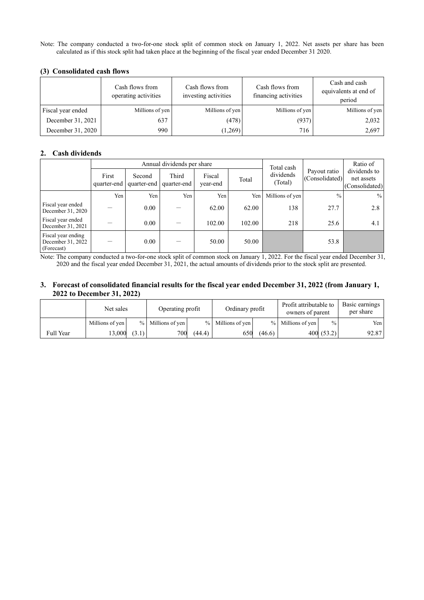Note: The company conducted a two-for-one stock split of common stock on January 1, 2022. Net assets per share has been calculated as if this stock split had taken place at the beginning of the fiscal year ended December 31 2020.

#### **(3) Consolidated cash flows**

|                   | Cash flows from<br>operating activities | Cash flows from<br>investing activities | Cash flows from<br>financing activities | Cash and cash<br>equivalents at end of<br>period |
|-------------------|-----------------------------------------|-----------------------------------------|-----------------------------------------|--------------------------------------------------|
| Fiscal year ended | Millions of yen                         | Millions of yen                         | Millions of yen                         | Millions of yen                                  |
| December 31, 2021 | 637                                     | (478)                                   | (937)                                   | 2,032                                            |
| December 31, 2020 | 990                                     | (1,269)                                 | 716                                     | 2,697                                            |

#### **2. Cash dividends**

|                                                       |                      |                       | Annual dividends per share | Total cash         |        | Ratio of             |                                |                                              |
|-------------------------------------------------------|----------------------|-----------------------|----------------------------|--------------------|--------|----------------------|--------------------------------|----------------------------------------------|
|                                                       | First<br>quarter-end | Second<br>quarter-end | Third<br>quarter-end       | Fiscal<br>year-end | Total  | dividends<br>(Total) | Payout ratio<br>(Consolidated) | dividends to<br>net assets<br>(Consolidated) |
|                                                       | Yen                  | Yen                   | Yen <sub>1</sub>           | Yen                | Yen    | Millions of yen      | $\frac{0}{0}$                  | $\%$                                         |
| Fiscal year ended<br>December 31, 2020                |                      | 0.00                  |                            | 62.00              | 62.00  | 138                  | 27.7                           | 2.8                                          |
| Fiscal year ended<br>December 31, 2021                |                      | 0.00                  |                            | 102.00             | 102.00 | 218                  | 25.6                           | 4.1                                          |
| Fiscal year ending<br>December 31, 2022<br>(Forecast) |                      | 0.00                  |                            | 50.00              | 50.00  |                      | 53.8                           |                                              |

Note: The company conducted a two-for-one stock split of common stock on January 1, 2022. For the fiscal year ended December 31, 2020 and the fiscal year ended December 31, 2021, the actual amounts of dividends prior to the stock split are presented.

#### **3. Forecast of consolidated financial results for the fiscal year ended December 31, 2022 (from January 1, 2022 to December 31, 2022)**

|           | Net sales       |       | Operating profit  |        | Ordinary profit   |        | Profit attributable to<br>owners of parent |           | Basic earnings<br>per share |
|-----------|-----------------|-------|-------------------|--------|-------------------|--------|--------------------------------------------|-----------|-----------------------------|
|           | Millions of yen |       | % Millions of yen |        | % Millions of yen |        | % Millions of yen                          | $\%$      | Yen                         |
| Full Year | 13,000          | (3.1) | 700               | (44.4) | 650               | (46.6) |                                            | 400(53.2) | 92.87                       |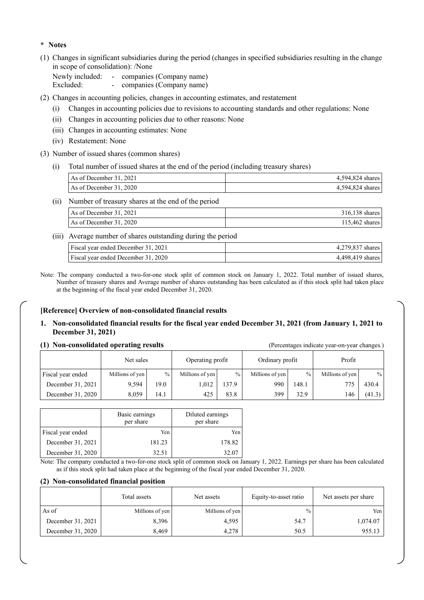#### **\* Notes**

- (1) Changes in significant subsidiaries during the period (changes in specified subsidiaries resulting in the change in scope of consolidation): /None
	- Newly included: companies (Company name) Excluded: - companies (Company name)
- (2) Changes in accounting policies, changes in accounting estimates, and restatement
	- (i) Changes in accounting policies due to revisions to accounting standards and other regulations: None
	- (ii) Changes in accounting policies due to other reasons: None
	- (iii) Changes in accounting estimates: None
	- (iv) Restatement: None
- (3) Number of issued shares (common shares)
	- (i) Total number of issued shares at the end of the period (including treasury shares)

| As of December 31, 2021 | 4,594,824 shares |
|-------------------------|------------------|
| As of December 31, 2020 | 4,594,824 shares |

(ii) Number of treasury shares at the end of the period

| As of December 31, 2021 | 316,138 shares   |
|-------------------------|------------------|
| As of December 31, 2020 | $115,462$ shares |

(iii) Average number of shares outstanding during the period

| Fiscal vear ended December 31, 2021 | 4,279,837 shares |
|-------------------------------------|------------------|
| Fiscal vear ended December 31, 2020 | 4.498.419 shares |

Note: The company conducted a two-for-one stock split of common stock on January 1, 2022. Total number of issued shares, Number of treasury shares and Average number of shares outstanding has been calculated as if this stock split had taken place at the beginning of the fiscal year ended December 31, 2020.

#### **[Reference] Overview of non-consolidated financial results**

#### **1. Non-consolidated financial results for the fiscal year ended December 31, 2021 (from January 1, 2021 to December 31, 2021)**

#### **(1) Non-consolidated operating results** (Percentages indicate year-on-year changes.)

|                   | Net sales       |               | Operating profit |               | Ordinary profit |       | Profit          |               |
|-------------------|-----------------|---------------|------------------|---------------|-----------------|-------|-----------------|---------------|
| Fiscal year ended | Millions of yen | $\frac{0}{0}$ | Millions of yen  | $\frac{0}{0}$ | Millions of yen | $\%$  | Millions of yen | $\frac{9}{6}$ |
| December 31, 2021 | 9.594           | 19.0          | 1,012            | 137.9         | 990             | 148.1 |                 | 430.4         |
| December 31, 2020 | 8.059           | 14.1          | 425              | 83.8          | 399             | 32.9  | 146             | (41.3)        |

|                   | Basic earnings<br>per share | Diluted earnings<br>per share |
|-------------------|-----------------------------|-------------------------------|
| Fiscal year ended | Yen                         | Yen                           |
| December 31, 2021 | 181.23                      | 178.82                        |
| December 31, 2020 | 32.51                       | 32.07                         |

Note: The company conducted a two-for-one stock split of common stock on January 1, 2022. Earnings per share has been calculated as if this stock split had taken place at the beginning of the fiscal year ended December 31, 2020.

#### **(2) Non-consolidated financial position**

|                   | Total assets    | Net assets      | Equity-to-asset ratio | Net assets per share |
|-------------------|-----------------|-----------------|-----------------------|----------------------|
| As of             | Millions of yen | Millions of yen | $\frac{0}{0}$         | Yen                  |
| December 31, 2021 | 8,396           | 4,595           | 54.7                  | 1,074.07             |
| December 31, 2020 | 8.469           | 4.278           | 50.5                  | 955.13               |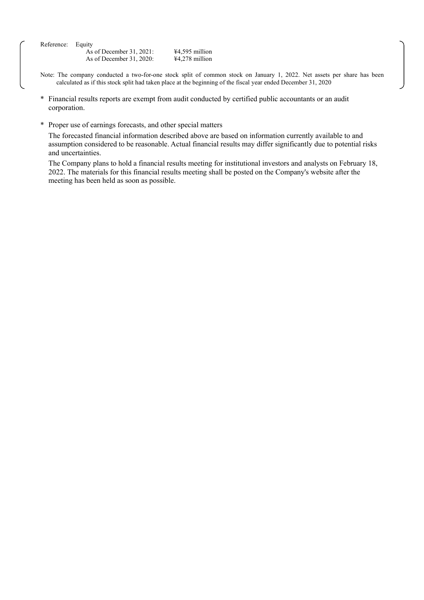| Reference: Equity |                             |                |
|-------------------|-----------------------------|----------------|
|                   | As of December $31, 2021$ : | ¥4,595 million |
|                   | As of December $31, 2020$ : | ¥4,278 million |

- Note: The company conducted a two-for-one stock split of common stock on January 1, 2022. Net assets per share has been calculated as if this stock split had taken place at the beginning of the fiscal year ended December 31, 2020
- \* Financial results reports are exempt from audit conducted by certified public accountants or an audit corporation.
- \* Proper use of earnings forecasts, and other special matters

The forecasted financial information described above are based on information currently available to and assumption considered to be reasonable. Actual financial results may differ significantly due to potential risks and uncertainties.

The Company plans to hold a financial results meeting for institutional investors and analysts on February 18, 2022. The materials for this financial results meeting shall be posted on the Company's website after the meeting has been held as soon as possible.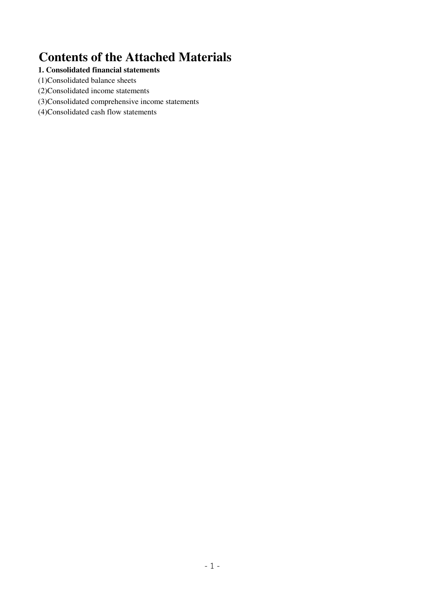# **Contents of the Attached Materials**

- **1. Consolidated financial statements**
- (1)Consolidated balance sheets
- (2)Consolidated income statements
- (3)Consolidated comprehensive income statements
- (4)Consolidated cash flow statements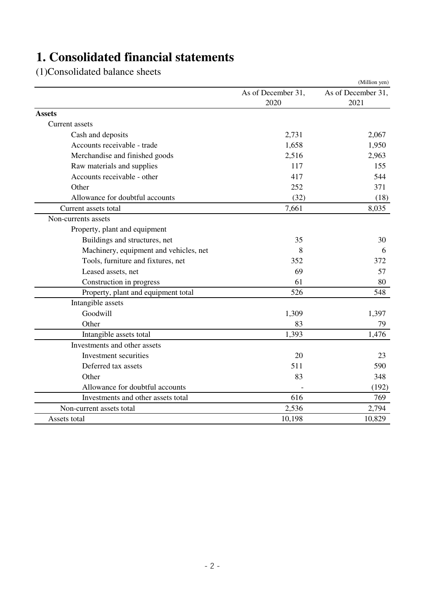# **1. Consolidated financial statements**

(1)Consolidated balance sheets

|                                        |                    | (Million yen)      |
|----------------------------------------|--------------------|--------------------|
|                                        | As of December 31, | As of December 31, |
|                                        | 2020               | 2021               |
| <b>Assets</b>                          |                    |                    |
| <b>Current</b> assets                  |                    |                    |
| Cash and deposits                      | 2,731              | 2,067              |
| Accounts receivable - trade            | 1,658              | 1,950              |
| Merchandise and finished goods         | 2,516              | 2,963              |
| Raw materials and supplies             | 117                | 155                |
| Accounts receivable - other            | 417                | 544                |
| Other                                  | 252                | 371                |
| Allowance for doubtful accounts        | (32)               | (18)               |
| Current assets total                   | 7,661              | 8,035              |
| Non-currents assets                    |                    |                    |
| Property, plant and equipment          |                    |                    |
| Buildings and structures, net          | 35                 | 30                 |
| Machinery, equipment and vehicles, net | 8                  | 6                  |
| Tools, furniture and fixtures, net     | 352                | 372                |
| Leased assets, net                     | 69                 | 57                 |
| Construction in progress               | 61                 | 80                 |
| Property, plant and equipment total    | 526                | 548                |
| Intangible assets                      |                    |                    |
| Goodwill                               | 1,309              | 1,397              |
| Other                                  | 83                 | 79                 |
| Intangible assets total                | 1,393              | 1,476              |
| Investments and other assets           |                    |                    |
| Investment securities                  | 20                 | 23                 |
| Deferred tax assets                    | 511                | 590                |
| Other                                  | 83                 | 348                |
| Allowance for doubtful accounts        |                    | (192)              |
| Investments and other assets total     | 616                | 769                |
| Non-current assets total               | 2,536              | 2,794              |
| Assets total                           | 10,198             | 10,829             |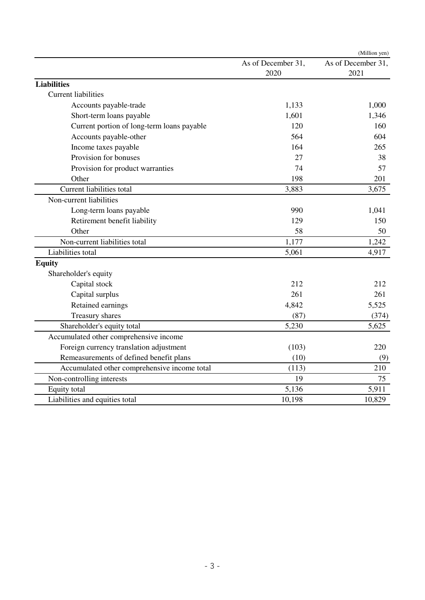|                                              |                    | (Million yen)      |
|----------------------------------------------|--------------------|--------------------|
|                                              | As of December 31, | As of December 31, |
|                                              | 2020               | 2021               |
| <b>Liabilities</b>                           |                    |                    |
| <b>Current liabilities</b>                   |                    |                    |
| Accounts payable-trade                       | 1,133              | 1,000              |
| Short-term loans payable                     | 1,601              | 1,346              |
| Current portion of long-term loans payable   | 120                | 160                |
| Accounts payable-other                       | 564                | 604                |
| Income taxes payable                         | 164                | 265                |
| Provision for bonuses                        | 27                 | 38                 |
| Provision for product warranties             | 74                 | 57                 |
| Other                                        | 198                | 201                |
| Current liabilities total                    | 3,883              | 3,675              |
| Non-current liabilities                      |                    |                    |
| Long-term loans payable                      | 990                | 1,041              |
| Retirement benefit liability                 | 129                | 150                |
| Other                                        | 58                 | 50                 |
| Non-current liabilities total                | 1,177              | 1,242              |
| Liabilities total                            | 5,061              | 4,917              |
| <b>Equity</b>                                |                    |                    |
| Shareholder's equity                         |                    |                    |
| Capital stock                                | 212                | 212                |
| Capital surplus                              | 261                | 261                |
| Retained earnings                            | 4,842              | 5,525              |
| Treasury shares                              | (87)               | (374)              |
| Shareholder's equity total                   | 5,230              | 5,625              |
| Accumulated other comprehensive income       |                    |                    |
| Foreign currency translation adjustment      | (103)              | 220                |
| Remeasurements of defined benefit plans      | (10)               | (9)                |
| Accumulated other comprehensive income total | (113)              | 210                |
| Non-controlling interests                    | 19                 | 75                 |
| Equity total                                 | 5,136              | 5,911              |
| Liabilities and equities total               | 10,198             | 10,829             |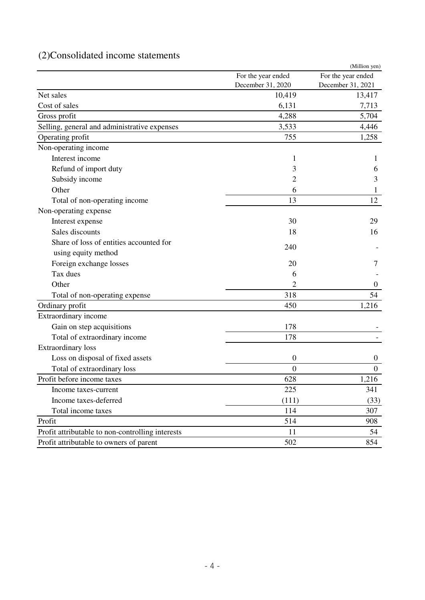# (2)Consolidated income statements

|                                                  |                                         | (Million yen)                           |
|--------------------------------------------------|-----------------------------------------|-----------------------------------------|
|                                                  | For the year ended<br>December 31, 2020 | For the year ended<br>December 31, 2021 |
| Net sales                                        | 10,419                                  | 13,417                                  |
| Cost of sales                                    | 6,131                                   | 7,713                                   |
| Gross profit                                     | 4,288                                   | 5,704                                   |
| Selling, general and administrative expenses     | 3,533                                   | 4,446                                   |
| Operating profit                                 | 755                                     | 1,258                                   |
| Non-operating income                             |                                         |                                         |
| Interest income                                  | 1                                       |                                         |
| Refund of import duty                            | 3                                       | 6                                       |
| Subsidy income                                   | 2                                       | 3                                       |
| Other                                            | 6                                       | 1                                       |
| Total of non-operating income                    | 13                                      | 12                                      |
| Non-operating expense                            |                                         |                                         |
| Interest expense                                 | 30                                      | 29                                      |
| Sales discounts                                  | 18                                      | 16                                      |
| Share of loss of entities accounted for          |                                         |                                         |
| using equity method                              | 240                                     |                                         |
| Foreign exchange losses                          | 20                                      | 7                                       |
| Tax dues                                         | 6                                       |                                         |
| Other                                            | 2                                       | $\overline{0}$                          |
| Total of non-operating expense                   | 318                                     | 54                                      |
| Ordinary profit                                  | 450                                     | 1,216                                   |
| Extraordinary income                             |                                         |                                         |
| Gain on step acquisitions                        | 178                                     |                                         |
| Total of extraordinary income                    | 178                                     |                                         |
| Extraordinary loss                               |                                         |                                         |
| Loss on disposal of fixed assets                 | $\boldsymbol{0}$                        | $\boldsymbol{0}$                        |
| Total of extraordinary loss                      | $\mathbf{0}$                            | $\boldsymbol{0}$                        |
| Profit before income taxes                       | 628                                     | 1,216                                   |
| Income taxes-current                             | 225                                     | 341                                     |
| Income taxes-deferred                            | (111)                                   | (33)                                    |
| Total income taxes                               | 114                                     | 307                                     |
| Profit                                           | 514                                     | 908                                     |
| Profit attributable to non-controlling interests | 11                                      | 54                                      |
| Profit attributable to owners of parent          | 502                                     | 854                                     |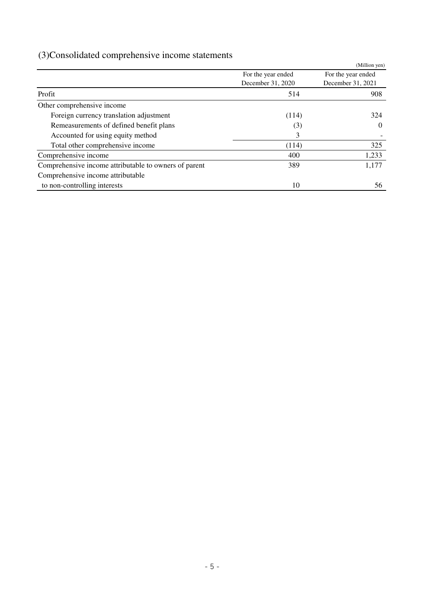# (3)Consolidated comprehensive income statements

|                                                       |                                         | (Million yen)                           |
|-------------------------------------------------------|-----------------------------------------|-----------------------------------------|
|                                                       | For the year ended<br>December 31, 2020 | For the year ended<br>December 31, 2021 |
| Profit                                                | 514                                     | 908                                     |
| Other comprehensive income                            |                                         |                                         |
| Foreign currency translation adjustment               | (114)                                   | 324                                     |
| Remeasurements of defined benefit plans               | (3)                                     | $\theta$                                |
| Accounted for using equity method                     | 3                                       |                                         |
| Total other comprehensive income                      | (114)                                   | 325                                     |
| Comprehensive income                                  | 400                                     | 1,233                                   |
| Comprehensive income attributable to owners of parent | 389                                     | 1,177                                   |
| Comprehensive income attributable                     |                                         |                                         |
| to non-controlling interests                          | 10                                      | 56                                      |